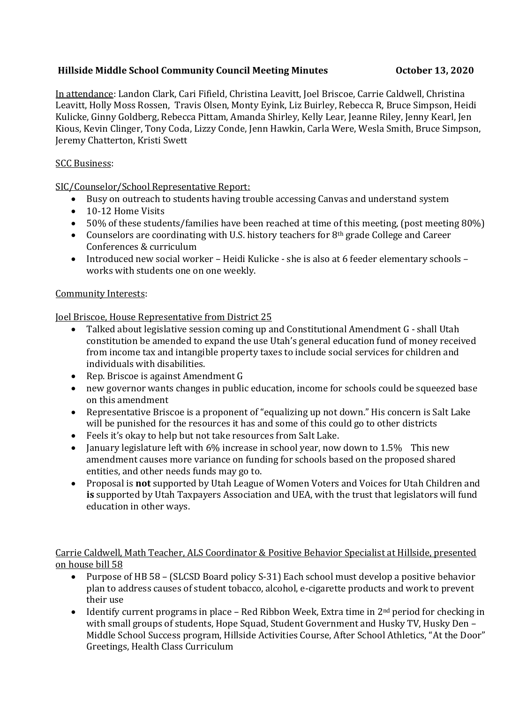## **Hillside Middle School Community Council Meeting Minutes 6 00 000 000000 13, 2020**

In attendance: Landon Clark, Cari Fifield, Christina Leavitt, Joel Briscoe, Carrie Caldwell, Christina Leavitt, Holly Moss Rossen, Travis Olsen, Monty Eyink, Liz Buirley, Rebecca R, Bruce Simpson, Heidi Kulicke, Ginny Goldberg, Rebecca Pittam, Amanda Shirley, Kelly Lear, Jeanne Riley, Jenny Kearl, Jen Kious, Kevin Clinger, Tony Coda, Lizzy Conde, Jenn Hawkin, Carla Were, Wesla Smith, Bruce Simpson, Jeremy Chatterton, Kristi Swett

### SCC Business:

SIC/Counselor/School Representative Report:

- Busy on outreach to students having trouble accessing Canvas and understand system
- 10-12 Home Visits
- 50% of these students/families have been reached at time of this meeting, (post meeting 80%)
- Counselors are coordinating with U.S. history teachers for 8<sup>th</sup> grade College and Career Conferences & curriculum
- Introduced new social worker Heidi Kulicke she is also at 6 feeder elementary schools works with students one on one weekly.

### Community Interests:

Joel Briscoe, House Representative from District 25

- Talked about legislative session coming up and Constitutional Amendment G shall Utah constitution be amended to expand the use Utah's general education fund of money received from income tax and intangible property taxes to include social services for children and individuals with disabilities.
- Rep. Briscoe is against Amendment G
- new governor wants changes in public education, income for schools could be squeezed base on this amendment
- Representative Briscoe is a proponent of "equalizing up not down." His concern is Salt Lake will be punished for the resources it has and some of this could go to other districts
- Feels it's okay to help but not take resources from Salt Lake.
- January legislature left with 6% increase in school year, now down to 1.5% This new amendment causes more variance on funding for schools based on the proposed shared entities, and other needs funds may go to.
- Proposal is **not** supported by Utah League of Women Voters and Voices for Utah Children and **is** supported by Utah Taxpayers Association and UEA, with the trust that legislators will fund education in other ways.

### Carrie Caldwell, Math Teacher, ALS Coordinator & Positive Behavior Specialist at Hillside, presented on house bill 58

- Purpose of HB 58 (SLCSD Board policy S-31) Each school must develop a positive behavior plan to address causes of student tobacco, alcohol, e-cigarette products and work to prevent their use
- Identify current programs in place Red Ribbon Week, Extra time in  $2^{nd}$  period for checking in with small groups of students, Hope Squad, Student Government and Husky TV, Husky Den – Middle School Success program, Hillside Activities Course, After School Athletics, "At the Door" Greetings, Health Class Curriculum